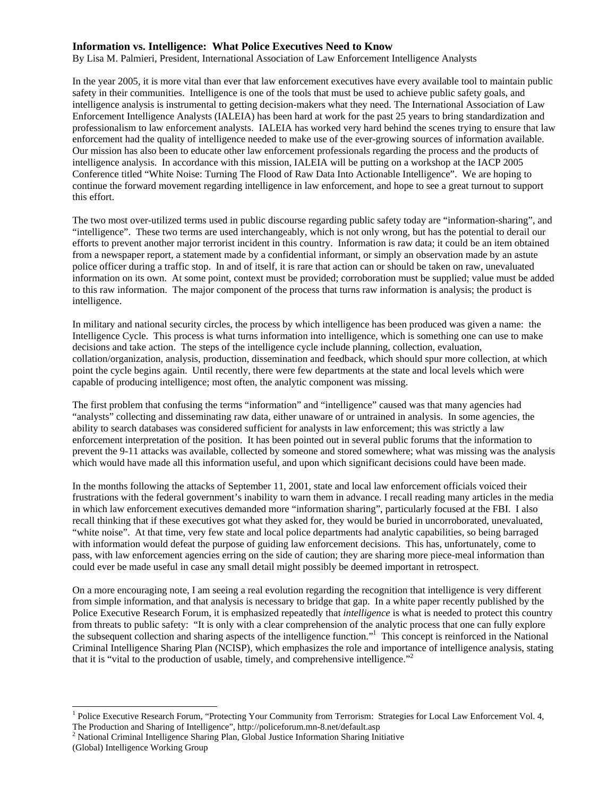## **Information vs. Intelligence: What Police Executives Need to Know**

By Lisa M. Palmieri, President, International Association of Law Enforcement Intelligence Analysts

In the year 2005, it is more vital than ever that law enforcement executives have every available tool to maintain public safety in their communities. Intelligence is one of the tools that must be used to achieve public safety goals, and intelligence analysis is instrumental to getting decision-makers what they need. The International Association of Law Enforcement Intelligence Analysts (IALEIA) has been hard at work for the past 25 years to bring standardization and professionalism to law enforcement analysts. IALEIA has worked very hard behind the scenes trying to ensure that law enforcement had the quality of intelligence needed to make use of the ever-growing sources of information available. Our mission has also been to educate other law enforcement professionals regarding the process and the products of intelligence analysis. In accordance with this mission, IALEIA will be putting on a workshop at the IACP 2005 Conference titled "White Noise: Turning The Flood of Raw Data Into Actionable Intelligence". We are hoping to continue the forward movement regarding intelligence in law enforcement, and hope to see a great turnout to support this effort.

The two most over-utilized terms used in public discourse regarding public safety today are "information-sharing", and "intelligence". These two terms are used interchangeably, which is not only wrong, but has the potential to derail our efforts to prevent another major terrorist incident in this country. Information is raw data; it could be an item obtained from a newspaper report, a statement made by a confidential informant, or simply an observation made by an astute police officer during a traffic stop. In and of itself, it is rare that action can or should be taken on raw, unevaluated information on its own. At some point, context must be provided; corroboration must be supplied; value must be added to this raw information. The major component of the process that turns raw information is analysis; the product is intelligence.

In military and national security circles, the process by which intelligence has been produced was given a name: the Intelligence Cycle. This process is what turns information into intelligence, which is something one can use to make decisions and take action. The steps of the intelligence cycle include planning, collection, evaluation, collation/organization, analysis, production, dissemination and feedback, which should spur more collection, at which point the cycle begins again. Until recently, there were few departments at the state and local levels which were capable of producing intelligence; most often, the analytic component was missing.

The first problem that confusing the terms "information" and "intelligence" caused was that many agencies had "analysts" collecting and disseminating raw data, either unaware of or untrained in analysis. In some agencies, the ability to search databases was considered sufficient for analysts in law enforcement; this was strictly a law enforcement interpretation of the position. It has been pointed out in several public forums that the information to prevent the 9-11 attacks was available, collected by someone and stored somewhere; what was missing was the analysis which would have made all this information useful, and upon which significant decisions could have been made.

In the months following the attacks of September 11, 2001, state and local law enforcement officials voiced their frustrations with the federal government's inability to warn them in advance. I recall reading many articles in the media in which law enforcement executives demanded more "information sharing", particularly focused at the FBI. I also recall thinking that if these executives got what they asked for, they would be buried in uncorroborated, unevaluated, "white noise". At that time, very few state and local police departments had analytic capabilities, so being barraged with information would defeat the purpose of guiding law enforcement decisions. This has, unfortunately, come to pass, with law enforcement agencies erring on the side of caution; they are sharing more piece-meal information than could ever be made useful in case any small detail might possibly be deemed important in retrospect.

On a more encouraging note, I am seeing a real evolution regarding the recognition that intelligence is very different from simple information, and that analysis is necessary to bridge that gap. In a white paper recently published by the Police Executive Research Forum, it is emphasized repeatedly that *intelligence* is what is needed to protect this country from threats to public safety: "It is only with a clear comprehension of the analytic process that one can fully explore the subsequent collection and sharing aspects of the intelligence function."1 This concept is reinforced in the National Criminal Intelligence Sharing Plan (NCISP), which emphasizes the role and importance of intelligence analysis, stating that it is "vital to the production of usable, timely, and comprehensive intelligence."<sup>2</sup>

 $\overline{a}$ 

<sup>&</sup>lt;sup>1</sup> Police Executive Research Forum, "Protecting Your Community from Terrorism: Strategies for Local Law Enforcement Vol. 4, The Production and Sharing of Intelligence", http://policeforum.mn-8.net/default.asp 2

 $2$  National Criminal Intelligence Sharing Plan, Global Justice Information Sharing Initiative

<sup>(</sup>Global) Intelligence Working Group